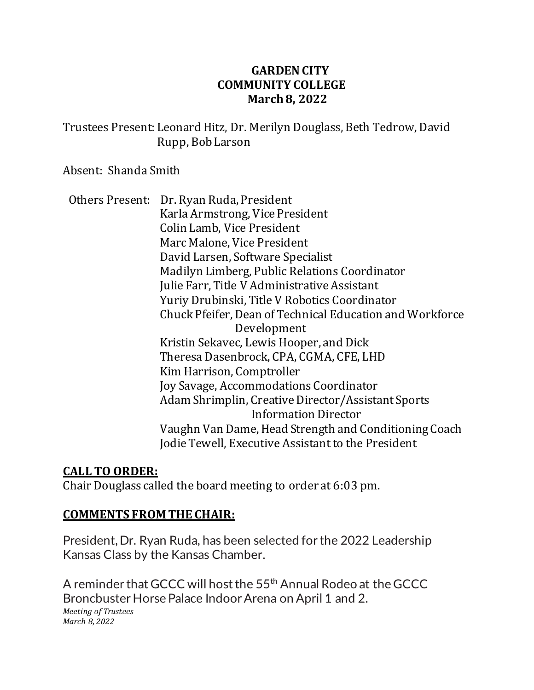### **GARDEN CITY COMMUNITY COLLEGE March 8, 2022**

Trustees Present: Leonard Hitz, Dr. Merilyn Douglass, Beth Tedrow, David Rupp, Bob Larson

Absent: Shanda Smith

Others Present: Dr. Ryan Ruda, President Karla Armstrong, Vice President Colin Lamb, Vice President Marc Malone, Vice President David Larsen, Software Specialist Madilyn Limberg, Public Relations Coordinator Julie Farr, Title V Administrative Assistant Yuriy Drubinski, Title V Robotics Coordinator Chuck Pfeifer, Dean of Technical Education and Workforce Development Kristin Sekavec, Lewis Hooper, and Dick Theresa Dasenbrock, CPA, CGMA, CFE, LHD Kim Harrison, Comptroller Joy Savage, Accommodations Coordinator Adam Shrimplin, Creative Director/Assistant Sports Information Director Vaughn Van Dame, Head Strength and Conditioning Coach Jodie Tewell, Executive Assistant to the President

#### **CALL TO ORDER:**

Chair Douglass called the board meeting to order at 6:03 pm.

#### **COMMENTS FROM THE CHAIR:**

President, Dr. Ryan Ruda, has been selected for the 2022 Leadership Kansas Class by the Kansas Chamber.

A reminder that GCCC will host the 55<sup>th</sup> Annual Rodeo at the GCCC Broncbuster Horse Palace Indoor Arena on April 1 and 2. *Meeting of Trustees March 8, 2022*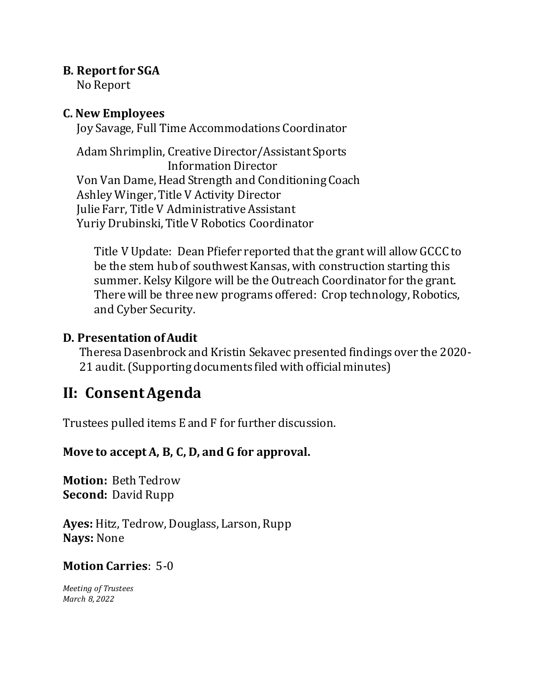#### **B. Report for SGA**

No Report

#### **C. New Employees**

Joy Savage, Full Time Accommodations Coordinator

 Adam Shrimplin, Creative Director/Assistant Sports Information Director Von Van Dame, Head Strength and Conditioning Coach Ashley Winger, Title V Activity Director Julie Farr, Title V Administrative Assistant Yuriy Drubinski, Title V Robotics Coordinator

Title V Update: Dean Pfiefer reported that the grant will allow GCCC to be the stem hub of southwest Kansas, with construction starting this summer. Kelsy Kilgore will be the Outreach Coordinator for the grant. There will be three new programs offered: Crop technology, Robotics, and Cyber Security.

# **D. Presentation of Audit**

 Theresa Dasenbrock and Kristin Sekavec presented findings over the 2020- 21 audit. (Supporting documents filed with official minutes)

# **II: Consent Agenda**

Trustees pulled items E and F for further discussion.

# **Move to accept A, B, C, D, and G for approval.**

**Motion:** Beth Tedrow **Second:** David Rupp

**Ayes:** Hitz, Tedrow, Douglass, Larson, Rupp **Nays:** None

# **Motion Carries**: 5-0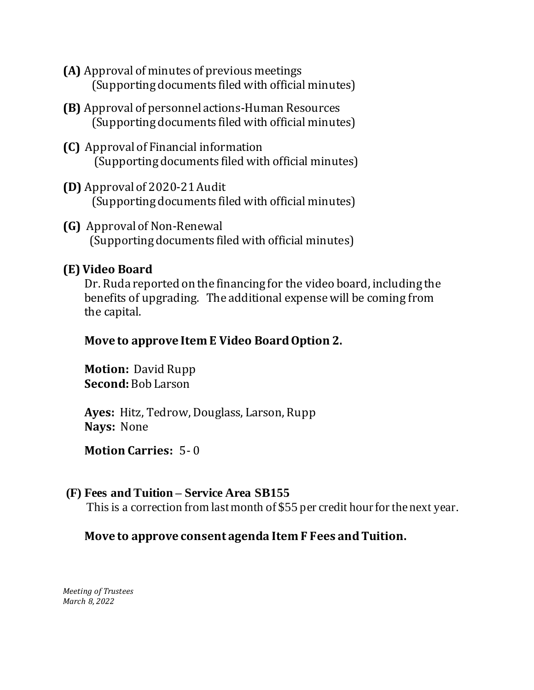- **(A)** Approval of minutes of previous meetings (Supporting documents filed with official minutes)
- **(B)** Approval of personnel actions-Human Resources (Supporting documents filed with official minutes)
- **(C)** Approval of Financial information (Supporting documents filed with official minutes)
- **(D)** Approval of 2020-21 Audit (Supporting documents filed with official minutes)
- **(G)** Approval of Non-Renewal (Supporting documents filed with official minutes)

# **(E) Video Board**

 Dr. Ruda reported on the financing for the video board, including the benefits of upgrading. The additional expense will be coming from the capital.

# **Move to approve Item E Video Board Option 2.**

 **Motion:** David Rupp **Second:** Bob Larson

 **Ayes:** Hitz, Tedrow, Douglass, Larson, Rupp **Nays:** None

# **Motion Carries:** 5- 0

# **(F) Fees and Tuition – Service Area SB155**

This is a correction from last month of \$55 per credit hour for the next year.

# **Move to approve consent agenda Item F Fees and Tuition.**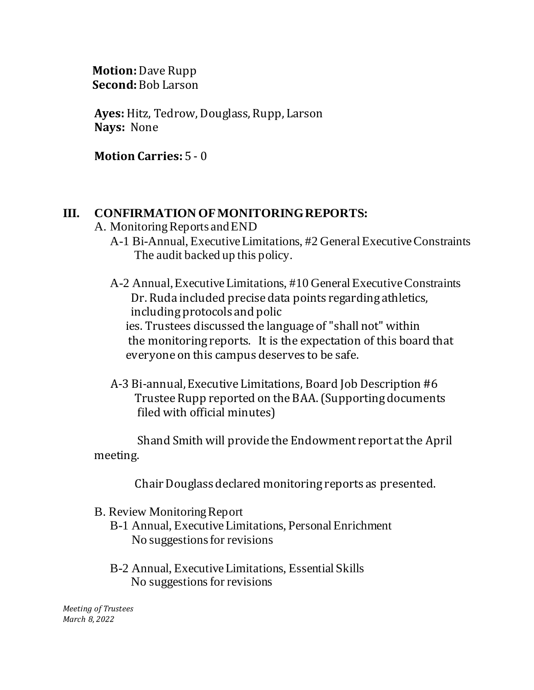**Motion:** Dave Rupp  **Second:**Bob Larson

**Ayes:** Hitz, Tedrow, Douglass, Rupp, Larson **Nays:** None

**Motion Carries:** 5 - 0

#### **III. CONFIRMATION OF MONITORING REPORTS:**

A. Monitoring Reports and END

A-1 Bi-Annual, Executive Limitations, #2 General Executive Constraints The audit backed up this policy.

A-2 Annual, Executive Limitations, #10 General Executive Constraints Dr. Ruda included precise data points regarding athletics, including protocols and polic ies. Trustees discussed the language of "shall not" within the monitoring reports. It is the expectation of this board that everyone on this campus deserves to be safe.

 A-3 Bi-annual, Executive Limitations, Board Job Description #6 Trustee Rupp reported on the BAA. (Supporting documents filed with official minutes)

 Shand Smith will provide the Endowment report at the April meeting.

Chair Douglass declared monitoring reports as presented.

- B. Review Monitoring Report
	- B-1 Annual, Executive Limitations, Personal Enrichment No suggestions for revisions
	- B-2 Annual, Executive Limitations, Essential Skills No suggestions for revisions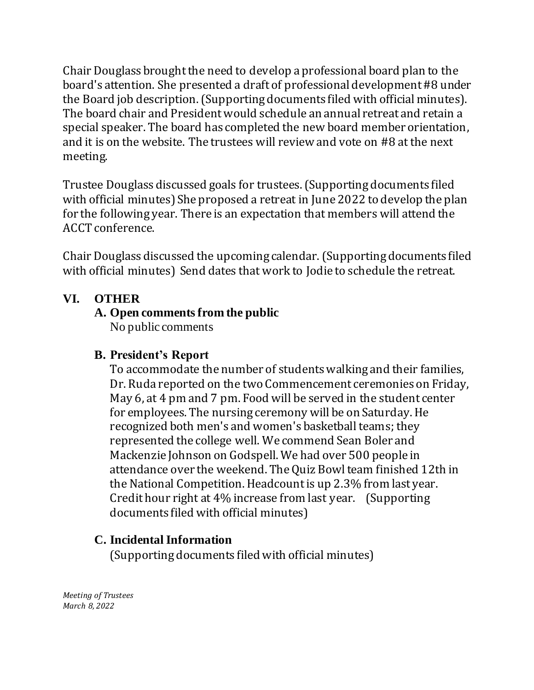Chair Douglass broughtthe need to develop a professional board plan to the board's attention. She presented a draft of professional development #8 under the Board job description. (Supporting documents filed with official minutes). The board chair and President would schedule an annual retreat and retain a special speaker. The board has completed the new board member orientation, and it is on the website. The trustees will review and vote on #8 at the next meeting.

Trustee Douglass discussed goals for trustees.(Supporting documents filed with official minutes) She proposed a retreat in June 2022 to develop the plan for the following year. There is an expectation that members will attend the ACCT conference.

Chair Douglass discussed the upcoming calendar. (Supporting documents filed with official minutes) Send dates that work to Jodie to schedule the retreat.

# **VI. OTHER**

# **A. Open comments from the public**

No public comments

# **B. President's Report**

To accommodate the number of students walking and their families, Dr. Ruda reported on the two Commencement ceremonies on Friday, May 6, at 4 pm and 7 pm. Food will be served in the student center for employees. The nursing ceremony will be on Saturday. He recognized both men's and women's basketball teams; they represented the college well. We commend Sean Boler and Mackenzie Johnson on Godspell. We had over 500 people in attendance over the weekend. The Quiz Bowl team finished 12th in the National Competition. Headcount is up 2.3% from last year. Credit hour right at 4% increase from last year. (Supporting documents filed with official minutes)

# **C. Incidental Information**

(Supporting documents filed with official minutes)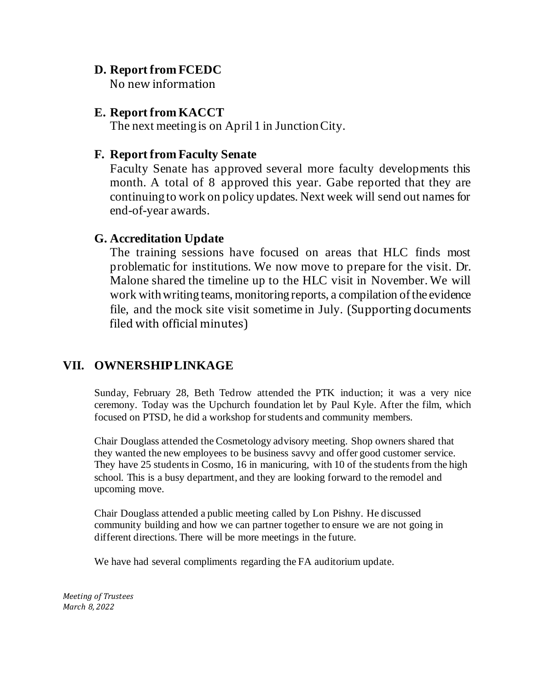#### **D. Report from FCEDC**

No new information

#### **E. Report from KACCT**

The next meeting is on April 1 in Junction City.

#### **F. Report from Faculty Senate**

Faculty Senate has approved several more faculty developments this month. A total of 8 approved this year. Gabe reported that they are continuing to work on policy updates. Next week will send out names for end-of-year awards.

#### **G. Accreditation Update**

The training sessions have focused on areas that HLC finds most problematic for institutions. We now move to prepare for the visit. Dr. Malone shared the timeline up to the HLC visit in November. We will work with writing teams, monitoring reports, a compilation of the evidence file, and the mock site visit sometime in July. (Supporting documents filed with official minutes)

# **VII. OWNERSHIP LINKAGE**

Sunday, February 28, Beth Tedrow attended the PTK induction; it was a very nice ceremony. Today was the Upchurch foundation let by Paul Kyle. After the film, which focused on PTSD, he did a workshop for students and community members.

Chair Douglass attended the Cosmetology advisory meeting. Shop owners shared that they wanted the new employees to be business savvy and offer good customer service. They have 25 students in Cosmo, 16 in manicuring, with 10 of the students from the high school. This is a busy department, and they are looking forward to the remodel and upcoming move.

Chair Douglass attended a public meeting called by Lon Pishny. He discussed community building and how we can partner together to ensure we are not going in different directions. There will be more meetings in the future.

We have had several compliments regarding the FA auditorium update.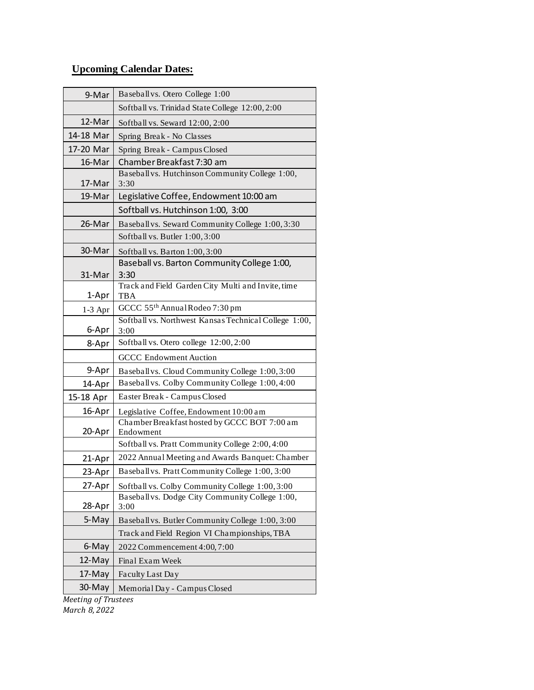#### **Upcoming Calendar Dates:**

| 9-Mar     | Baseball vs. Otero College 1:00                                  |
|-----------|------------------------------------------------------------------|
|           | Softball vs. Trinidad State College 12:00, 2:00                  |
| 12-Mar    | Softball vs. Seward 12:00, 2:00                                  |
| 14-18 Mar | Spring Break - No Classes                                        |
| 17-20 Mar | Spring Break - Campus Closed                                     |
| 16-Mar    | Chamber Breakfast 7:30 am                                        |
| 17-Mar    | Baseball vs. Hutchinson Community College 1:00,<br>3:30          |
| 19-Mar    | Legislative Coffee, Endowment 10:00 am                           |
|           | Softball vs. Hutchinson 1:00, 3:00                               |
| 26-Mar    | Baseball vs. Seward Community College 1:00, 3:30                 |
|           | Softball vs. Butler 1:00, 3:00                                   |
| 30-Mar    | Softball vs. Barton 1:00, 3:00                                   |
| 31-Mar    | Baseball vs. Barton Community College 1:00,<br>3:30              |
| 1-Apr     | Track and Field Garden City Multi and Invite, time<br><b>TBA</b> |
| $1-3$ Apr | GCCC 55th Annual Rodeo 7:30 pm                                   |
| 6-Apr     | Softball vs. Northwest Kansas Technical College 1:00,<br>3:00    |
| 8-Apr     | Softball vs. Otero college 12:00, 2:00                           |
|           | <b>GCCC</b> Endowment Auction                                    |
| 9-Apr     | Baseball vs. Cloud Community College 1:00, 3:00                  |
| 14-Apr    | Baseball vs. Colby Community College 1:00,4:00                   |
| 15-18 Apr | Easter Break - Campus Closed                                     |
| 16-Apr    | Legislative Coffee, Endowment 10:00 am                           |
| 20-Apr    | Chamber Breakfast hosted by GCCC BOT 7:00 am<br>Endowment        |
|           | Softball vs. Pratt Community College 2:00, 4:00                  |
| 21-Apr    | 2022 Annual Meeting and Awards Banquet: Chamber                  |
| 23-Apr    | Baseball vs. Pratt Community College 1:00, 3:00                  |
| 27-Apr    | Softball vs. Colby Community College 1:00, 3:00                  |
| 28-Apr    | Baseball vs. Dodge City Community College 1:00,<br>3:00          |
| 5-May     | Baseball vs. Butler Community College 1:00, 3:00                 |
|           | Track and Field Region VI Championships, TBA                     |
| 6-May     | 2022 Commencement 4:00, 7:00                                     |
| 12-May    | Final Exam Week                                                  |
| 17-May    | Faculty Last Day                                                 |
| 30-May    | Memorial Day - Campus Closed                                     |